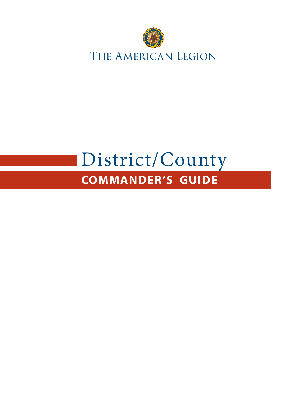

# **COMMANDER'S GUIDE** District/County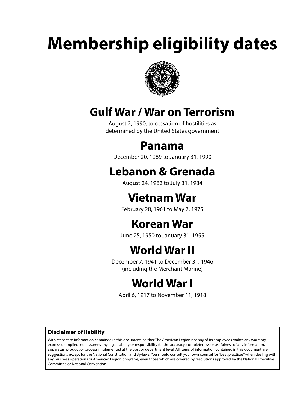# **Membership eligibility dates**



# **Gulf War / War on Terrorism**

August 2, 1990, to cessation of hostilities as determined by the United States government

# **Panama**

December 20, 1989 to January 31, 1990

# **Lebanon & Grenada**

August 24, 1982 to July 31, 1984

# **Vietnam War**

February 28, 1961 to May 7, 1975

# **Korean War**

June 25, 1950 to January 31, 1955

# **World War II**

December 7, 1941 to December 31, 1946 (including the Merchant Marine)

# **World War I**

April 6, 1917 to November 11, 1918

# **Disclaimer of liability**

With respect to information contained in this document, neither The American Legion nor any of its employees makes any warranty, express or implied, nor assumes any legal liability or responsibility for the accuracy, completeness or usefulness of any information, apparatus, product or process implemented at the post or department level. All items of information contained in this document are suggestions except for the National Constitution and By-laws. You should consult your own counsel for "best practices" when dealing with any business operations or American Legion programs, even those which are covered by resolutions approved by the National Executive Committee or National Convention.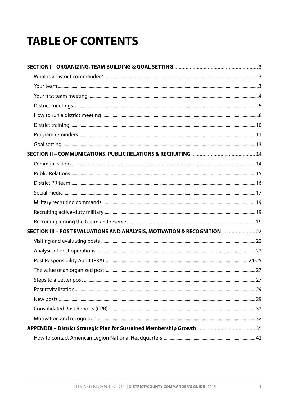# **TABLE OF CONTENTS**

| SECTION III - POST EVALUATIONS AND ANALYSIS, MOTIVATION & RECOGNITION <b></b> 22 |  |
|----------------------------------------------------------------------------------|--|
|                                                                                  |  |
|                                                                                  |  |
|                                                                                  |  |
|                                                                                  |  |
|                                                                                  |  |
|                                                                                  |  |
|                                                                                  |  |
|                                                                                  |  |
|                                                                                  |  |
|                                                                                  |  |
|                                                                                  |  |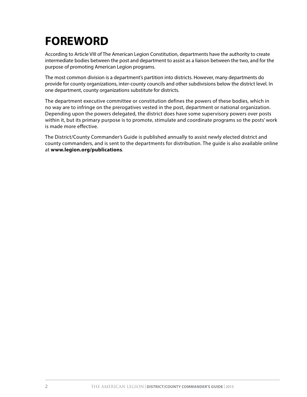# **FOREWORD**

According to Article VIII of The American Legion Constitution, departments have the authority to create intermediate bodies between the post and department to assist as a liaison between the two, and for the purpose of promoting American Legion programs.

The most common division is a department's partition into districts. However, many departments do provide for county organizations, inter-county councils and other subdivisions below the district level. In one department, county organizations substitute for districts.

The department executive committee or constitution defines the powers of these bodies, which in no way are to infringe on the prerogatives vested in the post, department or national organization. Depending upon the powers delegated, the district does have some supervisory powers over posts within it, but its primary purpose is to promote, stimulate and coordinate programs so the posts' work is made more effective.

The District/County Commander's Guide is published annually to assist newly elected district and county commanders, and is sent to the departments for distribution. The guide is also available online at **www.legion.org/publications**.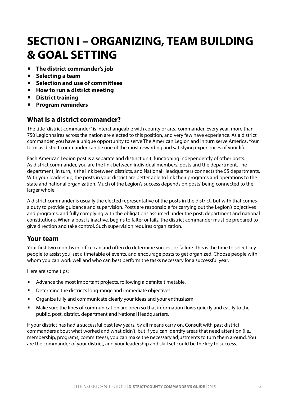# **SECTION I – ORGANIZING, TEAM BUILDING & GOAL SETTING**

- **The district commander's job**
- **Selecting a team**
- **Selection and use of committees**
- **How to run a district meeting**
- **District training**
- **Program reminders**

# **What is a district commander?**

The title "district commander" is interchangeable with county or area commander. Every year, more than 750 Legionnaires across the nation are elected to this position, and very few have experience. As a district commander, you have a unique opportunity to serve The American Legion and in turn serve America. Your term as district commander can be one of the most rewarding and satisfying experiences of your life.

Each American Legion post is a separate and distinct unit, functioning independently of other posts. As district commander, you are the link between individual members, posts and the department. The department, in turn, is the link between districts, and National Headquarters connects the 55 departments. With your leadership, the posts in your district are better able to link their programs and operations to the state and national organization. Much of the Legion's success depends on posts' being connected to the larger whole.

A district commander is usually the elected representative of the posts in the district, but with that comes a duty to provide guidance and supervision. Posts are responsible for carrying out the Legion's objectives and programs, and fully complying with the obligations assumed under the post, department and national constitutions. When a post is inactive, begins to falter or fails, the district commander must be prepared to give direction and take control. Such supervision requires organization.

# **Your team**

Your first two months in office can and often do determine success or failure. This is the time to select key people to assist you, set a timetable of events, and encourage posts to get organized. Choose people with whom you can work well and who can best perform the tasks necessary for a successful year.

Here are some tips:

- Advance the most important projects, following a definite timetable.
- **•** Determine the district's long-range and immediate objectives.
- Organize fully and communicate clearly your ideas and your enthusiasm.
- Make sure the lines of communication are open so that information flows quickly and easily to the public, post, district, department and National Headquarters.

If your district has had a successful past few years, by all means carry on. Consult with past district commanders about what worked and what didn't, but if you can identify areas that need attention (i.e., membership, programs, committees), you can make the necessary adjustments to turn them around. You are the commander of your district, and your leadership and skill set could be the key to success.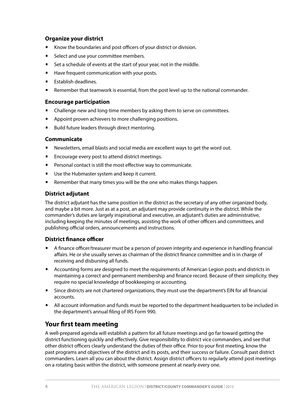### **Organize your district**

- Know the boundaries and post officers of your district or division.
- Select and use your committee members.
- Set a schedule of events at the start of your year, not in the middle.
- Have frequent communication with your posts.
- Establish deadlines.
- Remember that teamwork is essential, from the post level up to the national commander.

#### **Encourage participation**

- Challenge new and long-time members by asking them to serve on committees.
- Appoint proven achievers to more challenging positions.
- Build future leaders through direct mentoring.

#### **Communicate**

- Newsletters, email blasts and social media are excellent ways to get the word out.
- **•** Encourage every post to attend district meetings.
- Personal contact is still the most effective way to communicate.
- **•** Use the Hubmaster system and keep it current.
- Remember that many times you will be the one who makes things happen.

### **District adjutant**

The district adjutant has the same position in the district as the secretary of any other organized body, and maybe a bit more. Just as at a post, an adjutant may provide continuity in the district. While the commander's duties are largely inspirational and executive, an adjutant's duties are administrative, including keeping the minutes of meetings, assisting the work of other officers and committees, and publishing official orders, announcements and instructions.

#### **District finance officer**

- A finance officer/treasurer must be a person of proven integrity and experience in handling financial affairs. He or she usually serves as chairman of the district finance committee and is in charge of receiving and disbursing all funds.
- Accounting forms are designed to meet the requirements of American Legion posts and districts in maintaining a correct and permanent membership and finance record. Because of their simplicity, they require no special knowledge of bookkeeping or accounting.
- Since districts are not chartered organizations, they must use the department's EIN for all financial accounts.
- All account information and funds must be reported to the department headquarters to be included in the department's annual filing of IRS Form 990.

# **Your first team meeting**

A well-prepared agenda will establish a pattern for all future meetings and go far toward getting the district functioning quickly and effectively. Give responsibility to district vice commanders, and see that other district officers clearly understand the duties of their office. Prior to your first meeting, know the past programs and objectives of the district and its posts, and their success or failure. Consult past district commanders. Learn all you can about the district. Assign district officers to regularly attend post meetings on a rotating basis within the district, with someone present at nearly every one.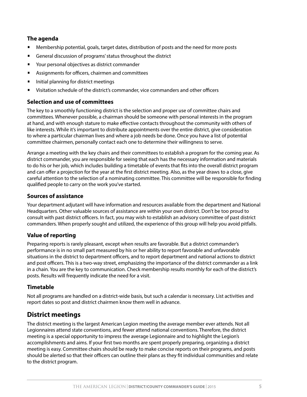### **The agenda**

- Membership potential, goals, target dates, distribution of posts and the need for more posts
- General discussion of programs' status throughout the district
- Your personal objectives as district commander
- Assignments for officers, chairmen and committees
- Initial planning for district meetings
- Visitation schedule of the district's commander, vice commanders and other officers

#### **Selection and use of committees**

The key to a smoothly functioning district is the selection and proper use of committee chairs and committees. Whenever possible, a chairman should be someone with personal interests in the program at hand, and with enough stature to make effective contacts throughout the community with others of like interests. While it's important to distribute appointments over the entire district, give consideration to where a particular chairman lives and where a job needs be done. Once you have a list of potential committee chairmen, personally contact each one to determine their willingness to serve.

Arrange a meeting with the key chairs and their committees to establish a program for the coming year. As district commander, you are responsible for seeing that each has the necessary information and materials to do his or her job, which includes building a timetable of events that fits into the overall district program and can offer a projection for the year at the first district meeting. Also, as the year draws to a close, give careful attention to the selection of a nominating committee. This committee will be responsible for finding qualified people to carry on the work you've started.

#### **Sources of assistance**

Your department adjutant will have information and resources available from the department and National Headquarters. Other valuable sources of assistance are within your own district. Don't be too proud to consult with past district officers. In fact, you may wish to establish an advisory committee of past district commanders. When properly sought and utilized, the experience of this group will help you avoid pitfalls.

### **Value of reporting**

Preparing reports is rarely pleasant, except when results are favorable. But a district commander's performance is in no small part measured by his or her ability to report favorable and unfavorable situations in the district to department officers, and to report department and national actions to district and post officers. This is a two-way street, emphasizing the importance of the district commander as a link in a chain. You are the key to communication. Check membership results monthly for each of the district's posts. Results will frequently indicate the need for a visit.

#### **Timetable**

Not all programs are handled on a district-wide basis, but such a calendar is necessary. List activities and report dates so post and district chairmen know them well in advance.

# **District meetings**

The district meeting is the largest American Legion meeting the average member ever attends. Not all Legionnaires attend state conventions, and fewer attend national conventions. Therefore, the district meeting is a special opportunity to impress the average Legionnaire and to highlight the Legion's accomplishments and aims. If your first two months are spent properly preparing, organizing a district meeting is easy. Committee chairs should be ready to make concise reports on their programs, and posts should be alerted so that their officers can outline their plans as they fit individual communities and relate to the district program.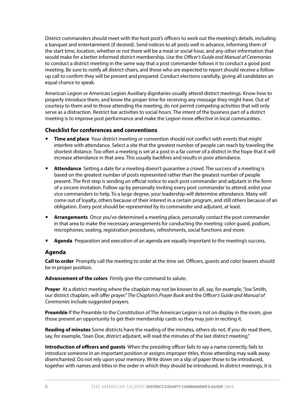District commanders should meet with the host post's officers to work out the meeting's details, including a banquet and entertainment (if desired). Send notices to all posts well in advance, informing them of the start time, location, whether or not there will be a meal or social hour, and any other information that would make for a better informed district membership. Use the *Officer's Guide and Manual of Ceremonies*  to conduct a district meeting in the same way that a post commander follows it to conduct a good post meeting. Be sure to notify all district chairs, and those who are expected to report should receive a followup call to confirm they will be present and prepared. Conduct elections carefully, giving all candidates an equal chance to speak.

American Legion or American Legion Auxiliary dignitaries usually attend district meetings. Know how to properly introduce them, and know the proper time for receiving any message they might have. Out of courtesy to them and to those attending the meeting, do not permit competing activities that will only serve as a distraction. Restrict bar activities to social hours. The intent of the business part of a district meeting is to improve post performance and make the Legion more effective in local communities.

#### **Checklist for conferences and conventions**

- **Time and place** Your district meeting or convention should not conflict with events that might interfere with attendance. Select a site that the greatest number of people can reach by traveling the shortest distance. Too often a meeting is set at a post in a far corner of a district in the hope that it will increase attendance in that area. This usually backfires and results in poor attendance.
- **Attendance** Setting a date for a meeting doesn't guarantee a crowd. The success of a meeting is based on the greatest number of posts represented rather than the greatest number of people present. The first step is sending an official notice to each post commander and adjutant in the form of a sincere invitation. Follow up by personally inviting every post commander to attend; enlist your vice commanders to help. To a large degree, your leadership will determine attendance. Many will come out of loyalty, others because of their interest in a certain program, and still others because of an obligation. Every post should be represented by its commander and adjutant, at least.
- **Arrangements** Once you've determined a meeting place, personally contact the post commander in that area to make the necessary arrangements for conducting the meeting: color guard, podium, microphones, seating, registration procedures, refreshments, social functions and more.
- **Agenda** Preparation and execution of an agenda are equally important to the meeting's success.

#### **Agenda**

**Call to order** Promptly call the meeting to order at the time set. Officers, guests and color bearers should be in proper position.

**Advancement of the colors** Firmly give the command to salute.

Prayer At a district meeting where the chaplain may not be known to all, say, for example, "Joe Smith, our district chaplain, will offer prayer." *The Chaplain's Prayer Book* and the *Officer's Guide and Manual of Ceremonies* include suggested prayers.

**Preamble** If the Preamble to the Constitution of The American Legion is not on display in the room, give those present an opportunity to get their membership cards so they may join in reciting it.

**Reading of minutes** Some districts have the reading of the minutes, others do not. If you do read them, say, for example, "Joan Doe, district adjutant, will read the minutes of the last district meeting."

**Introduction of officers and guests** When the presiding officer fails to say a name correctly, fails to introduce someone in an important position or assigns improper titles, those attending may walk away disenchanted. Do not rely upon your memory. Write down on a slip of paper those to be introduced, together with names and titles in the order in which they should be introduced. In district meetings, it is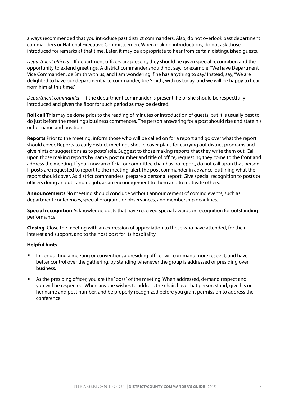always recommended that you introduce past district commanders. Also, do not overlook past department commanders or National Executive Committeemen. When making introductions, do not ask those introduced for remarks at that time. Later, it may be appropriate to hear from certain distinguished guests.

*Department officers* – If department officers are present, they should be given special recognition and the opportunity to extend greetings. A district commander should not say, for example, "We have Department Vice Commander Joe Smith with us, and I am wondering if he has anything to say." Instead, say, "We are delighted to have our department vice commander, Joe Smith, with us today, and we will be happy to hear from him at this time."

*Department commander* – If the department commander is present, he or she should be respectfully introduced and given the floor for such period as may be desired.

**Roll call** This may be done prior to the reading of minutes or introduction of guests, but it is usually best to do just before the meeting's business commences. The person answering for a post should rise and state his or her name and position.

**Reports** Prior to the meeting, inform those who will be called on for a report and go over what the report should cover. Reports to early district meetings should cover plans for carrying out district programs and give hints or suggestions as to posts' role. Suggest to those making reports that they write them out. Call upon those making reports by name, post number and title of office, requesting they come to the front and address the meeting. If you know an official or committee chair has no report, do not call upon that person. If posts are requested to report to the meeting, alert the post commander in advance, outlining what the report should cover. As district commanders, prepare a personal report. Give special recognition to posts or officers doing an outstanding job, as an encouragement to them and to motivate others.

**Announcements** No meeting should conclude without announcement of coming events, such as department conferences, special programs or observances, and membership deadlines.

**Special recognition** Acknowledge posts that have received special awards or recognition for outstanding performance.

**Closing** Close the meeting with an expression of appreciation to those who have attended, for their interest and support, and to the host post for its hospitality.

#### **Helpful hints**

- In conducting a meeting or convention, a presiding officer will command more respect, and have better control over the gathering, by standing whenever the group is addressed or presiding over business.
- As the presiding officer, you are the "boss" of the meeting. When addressed, demand respect and you will be respected. When anyone wishes to address the chair, have that person stand, give his or her name and post number, and be properly recognized before you grant permission to address the conference.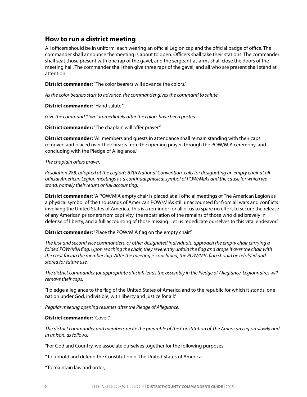# **How to run a district meeting**

All officers should be in uniform, each wearing an official Legion cap and the official badge of office. The commander shall announce the meeting is about to open. Officers shall take their stations. The commander shall seat those present with one rap of the gavel, and the sergeant-at-arms shall close the doors of the meeting hall. The commander shall then give three raps of the gavel, and all who are present shall stand at attention.

**District commander:** "The color bearers will advance the colors."

*As the color bearers start to advance, the commander gives the command to salute.*

**District commander:** "Hand salute."

*Give the command "Two" immediately after the colors have been posted.*

**District commander:** "The chaplain will offer prayer."

**District commander:** "All members and guests in attendance shall remain standing with their caps removed and placed over their hearts from the opening prayer, through the POW/MIA ceremony, and concluding with the Pledge of Allegiance."

*The chaplain offers prayer.*

*Resolution 288, adopted at the Legion's 67th National Convention, calls for designating an empty chair at all official American Legion meetings as a continual physical symbol of POW/MIAs and the cause for which we stand, namely their return or full accounting.* 

**District commander:** "A POW/MIA empty chair is placed at all official meetings of The American Legion as a physical symbol of the thousands of American POW/MIAs still unaccounted for from all wars and conflicts involving the United States of America. This is a reminder for all of us to spare no effort to secure the release of any American prisoners from captivity, the repatriation of the remains of those who died bravely in defense of liberty, and a full accounting of those missing. Let us rededicate ourselves to this vital endeavor."

**District commander:** "Place the POW/MIA flag on the empty chair."

*The first and second vice commanders, or other designated individuals, approach the empty chair carrying a*  folded POW/MIA flag. Upon reaching the chair, they reverently unfold the flag and drape it over the chair with *the crest facing the membership. After the meeting is concluded, the POW/MIA flag should be refolded and stored for future use.*

*The district commander (or appropriate official) leads the assembly in the Pledge of Allegiance. Legionnaires will remove their caps.*

"I pledge allegiance to the flag of the United States of America and to the republic for which it stands, one nation under God, indivisible, with liberty and justice for all."

*Regular meeting opening resumes after the Pledge of Allegiance.*

#### **District commander:** "Cover."

*The district commander and members recite the preamble of the Constitution of The American Legion slowly and in unison, as follows:*

"For God and Country, we associate ourselves together for the following purposes:

"To uphold and defend the Constitution of the United States of America;

"To maintain law and order;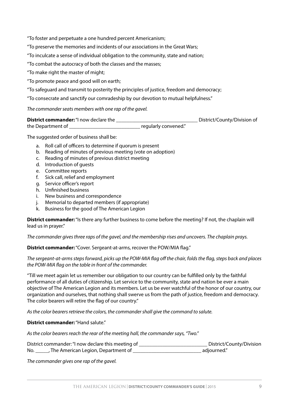"To foster and perpetuate a one hundred percent Americanism;

"To preserve the memories and incidents of our associations in the Great Wars;

"To inculcate a sense of individual obligation to the community, state and nation;

"To combat the autocracy of both the classes and the masses;

"To make right the master of might;

- "To promote peace and good will on earth;
- "To safeguard and transmit to posterity the principles of justice, freedom and democracy;

"To consecrate and sanctify our comradeship by our devotion to mutual helpfulness."

*The commander seats members with one rap of the gavel.* 

| <b>District commander:</b> "I now declare the |                      | District/County/Division of |
|-----------------------------------------------|----------------------|-----------------------------|
| the Department of                             | regularly convened." |                             |

The suggested order of business shall be:

- a. Roll call of officers to determine if quorum is present
- b. Reading of minutes of previous meeting (vote on adoption)
- c. Reading of minutes of previous district meeting
- d. Introduction of guests
- e. Committee reports
- f. Sick call, relief and employment
- g. Service officer's report
- h. Unfinished business
- i. New business and correspondence
- j. Memorial to departed members (if appropriate)
- k. Business for the good of The American Legion

**District commander:** "Is there any further business to come before the meeting? If not, the chaplain will lead us in prayer."

*The commander gives three raps of the gavel, and the membership rises and uncovers. The chaplain prays.*

**District commander:** "Cover. Sergeant-at-arms, recover the POW/MIA flag."

*The sergeant-at-arms steps forward, picks up the POW-MIA flag off the chair, folds the flag, steps back and places the POW-MIA flag on the table in front of the commander.*

"Till we meet again let us remember our obligation to our country can be fulfilled only by the faithful performance of all duties of citizenship. Let service to the community, state and nation be ever a main objective of The American Legion and its members. Let us be ever watchful of the honor of our country, our organization and ourselves, that nothing shall swerve us from the path of justice, freedom and democracy. The color bearers will retire the flag of our country."

*As the color bearers retrieve the colors, the commander shall give the command to salute.*

#### **District commander:** "Hand salute."

*As the color bearers reach the rear of the meeting hall, the commander says, "Two."* 

District commander: "I now declare this meeting of \_\_\_\_\_\_\_\_\_\_\_\_\_\_\_\_\_\_\_\_\_\_\_\_\_\_\_\_\_\_\_District/County/Division No. \_\_\_\_\_\_, The American Legion, Department of \_\_\_\_\_\_\_\_\_\_\_\_\_\_\_\_\_\_\_\_\_\_\_\_\_\_\_\_\_\_\_\_\_ adjourned."

*The commander gives one rap of the gavel.*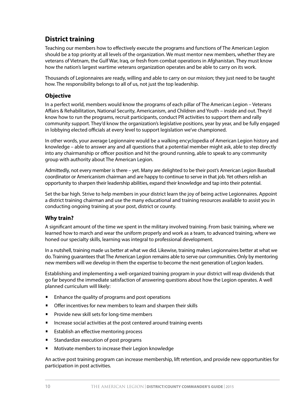# **District training**

Teaching our members how to effectively execute the programs and functions of The American Legion should be a top priority at all levels of the organization. We must mentor new members, whether they are veterans of Vietnam, the Gulf War, Iraq, or fresh from combat operations in Afghanistan. They must know how the nation's largest wartime veterans organization operates and be able to carry on its work.

Thousands of Legionnaires are ready, willing and able to carry on our mission; they just need to be taught how. The responsibility belongs to all of us, not just the top leadership.

#### **Objective**

In a perfect world, members would know the programs of each pillar of The American Legion – Veterans Affairs & Rehabilitation, National Security, Americanism, and Children and Youth – inside and out. They'd know how to run the programs, recruit participants, conduct PR activities to support them and rally community support. They'd know the organization's legislative positions, year by year, and be fully engaged in lobbying elected officials at every level to support legislation we've championed.

In other words, your average Legionnaire would be a walking encyclopedia of American Legion history and knowledge – able to answer any and all questions that a potential member might ask, able to step directly into any chairmanship or officer position and hit the ground running, able to speak to any community group with authority about The American Legion.

Admittedly, not every member is there – yet. Many are delighted to be their post's American Legion Baseball coordinator or Americanism chairman and are happy to continue to serve in that job. Yet others relish an opportunity to sharpen their leadership abilities, expand their knowledge and tap into their potential.

Set the bar high. Strive to help members in your district learn the joy of being active Legionnaires. Appoint a district training chairman and use the many educational and training resources available to assist you in conducting ongoing training at your post, district or county.

#### **Why train?**

A significant amount of the time we spent in the military involved training. From basic training, where we learned how to march and wear the uniform properly and work as a team, to advanced training, where we honed our specialty skills, learning was integral to professional development.

In a nutshell, training made us better at what we did. Likewise, training makes Legionnaires better at what we do. Training guarantees that The American Legion remains able to serve our communities. Only by mentoring new members will we develop in them the expertise to become the next generation of Legion leaders.

Establishing and implementing a well-organized training program in your district will reap dividends that go far beyond the immediate satisfaction of answering questions about how the Legion operates. A well planned curriculum will likely:

- Enhance the quality of programs and post operations
- **•** Offer incentives for new members to learn and sharpen their skills
- Provide new skill sets for long-time members
- Increase social activities at the post centered around training events
- **Establish an effective mentoring process**
- **•** Standardize execution of post programs
- Motivate members to increase their Legion knowledge

An active post training program can increase membership, lift retention, and provide new opportunities for participation in post activities.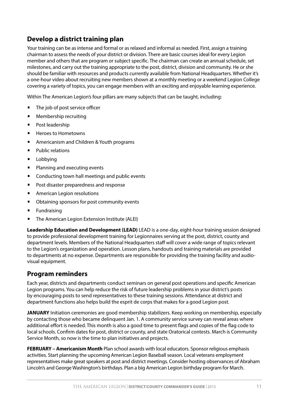# **Develop a district training plan**

Your training can be as intense and formal or as relaxed and informal as needed. First, assign a training chairman to assess the needs of your district or division. There are basic courses ideal for every Legion member and others that are program or subject specific. The chairman can create an annual schedule, set milestones, and carry out the training appropriate to the post, district, division and community. He or she should be familiar with resources and products currently available from National Headquarters. Whether it's a one-hour video about recruiting new members shown at a monthly meeting or a weekend Legion College covering a variety of topics, you can engage members with an exciting and enjoyable learning experience.

Within The American Legion's four pillars are many subjects that can be taught, including:

- The job of post service officer
- Membership recruiting
- Post leadership
- Heroes to Hometowns
- Americanism and Children & Youth programs
- Public relations
- Lobbying
- Planning and executing events
- **•** Conducting town hall meetings and public events
- **•** Post disaster preparedness and response
- American Legion resolutions
- Obtaining sponsors for post community events
- **Fundraising**
- The American Legion Extension Institute (ALEI)

**Leadership Education and Development (LEAD)** LEAD is a one-day, eight-hour training session designed to provide professional development training for Legionnaires serving at the post, district, county and department levels. Members of the National Headquarters staff will cover a wide range of topics relevant to the Legion's organization and operation. Lesson plans, handouts and training materials are provided to departments at no expense. Departments are responsible for providing the training facility and audiovisual equipment.

# **Program reminders**

Each year, districts and departments conduct seminars on general post operations and specific American Legion programs. You can help reduce the risk of future leadership problems in your district's posts by encouraging posts to send representatives to these training sessions. Attendance at district and department functions also helps build the esprit de corps that makes for a good Legion post.

**JANUARY** Initiation ceremonies are good membership stabilizers. Keep working on membership, especially by contacting those who became delinquent Jan. 1. A community service survey can reveal areas where additional effort is needed. This month is also a good time to present flags and copies of the flag code to local schools. Confirm dates for post, district or county, and state Oratorical contests. March is Community Service Month, so now is the time to plan initiatives and projects.

**FEBRUARY – Americanism Month** Plan school awards with local educators. Sponsor religious emphasis activities. Start planning the upcoming American Legion Baseball season. Local veterans employment representatives make great speakers at post and district meetings. Consider hosting observances of Abraham Lincoln's and George Washington's birthdays. Plan a big American Legion birthday program for March.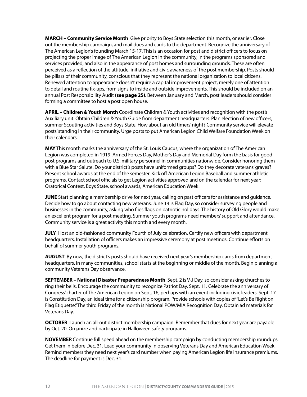**MARCH – Community Service Month** Give priority to Boys State selection this month, or earlier. Close out the membership campaign, and mail dues and cards to the department. Recognize the anniversary of The American Legion's founding March 15-17. This is an occasion for post and district officers to focus on projecting the proper image of The American Legion in the community, in the programs sponsored and services provided, and also in the appearance of post homes and surrounding grounds. These are often perceived as a reflection of the attitude, initiative and civic awareness of the post membership. Posts should be pillars of their community, conscious that they represent the national organization to local citizens. Renewed attention to appearance doesn't require a capital improvement project, merely one of attention to detail and routine fix-ups, from signs to inside and outside improvements. This should be included on an annual Post Responsibility Audit **(see page 25)**. Between January and March, post leaders should consider forming a committee to host a post open house.

**APRIL – Children & Youth Month** Coordinate Children & Youth activities and recognition with the post's Auxiliary unit. Obtain Children & Youth Guide from department headquarters. Plan election of new officers, summer Scouting activities and Boys State. How about an old timers' night? Community service will elevate posts' standing in their community. Urge posts to put American Legion Child Welfare Foundation Week on their calendars.

**MAY** This month marks the anniversary of the St. Louis Caucus, where the organization of The American Legion was completed in 1919. Armed Forces Day, Mother's Day and Memorial Day form the basis for good post programs and outreach to U.S. military personnel in communities nationwide. Consider honoring them with a Blue Star Salute. Do your district's posts have uniformed groups? Do they decorate veterans' graves? Present school awards at the end of the semester. Kick off American Legion Baseball and summer athletic programs. Contact school officials to get Legion activities approved and on the calendar for next year: Oratorical Contest, Boys State, school awards, American Education Week.

**JUNE** Start planning a membership drive for next year, calling on past officers for assistance and guidance. Decide how to go about contacting new veterans. June 14 is Flag Day, so consider surveying people and businesses in the community, asking who flies flags on patriotic holidays. The history of Old Glory would make an excellent program for a post meeting. Summer youth programs need members' support and attendance. Community service is a great activity this month and every month.

**JULY** Host an old-fashioned community Fourth of July celebration. Certify new officers with department headquarters. Installation of officers makes an impressive ceremony at post meetings. Continue efforts on behalf of summer youth programs.

**AUGUST** By now, the district's posts should have received next year's membership cards from department headquarters. In many communities, school starts at the beginning or middle of the month. Begin planning a community Veterans Day observance.

**SEPTEMBER – National Disaster Preparedness Month** Sept. 2 is V-J Day, so consider asking churches to ring their bells. Encourage the community to recognize Patriot Day, Sept. 11. Celebrate the anniversary of Congress' charter of The American Legion on Sept. 16, perhaps with an event including civic leaders. Sept. 17 is Constitution Day, an ideal time for a citizenship program. Provide schools with copies of "Let's Be Right on Flag Etiquette." The third Friday of the month is National POW/MIA Recognition Day. Obtain ad materials for Veterans Day.

**OCTOBER** Launch an all-out district membership campaign. Remember that dues for next year are payable by Oct. 20. Organize and participate in Halloween safety programs.

**NOVEMBER** Continue full speed ahead on the membership campaign by conducting membership roundups. Get them in before Dec. 31. Lead your community in observing Veterans Day and American Education Week. Remind members they need next year's card number when paying American Legion life insurance premiums. The deadline for payment is Dec. 31.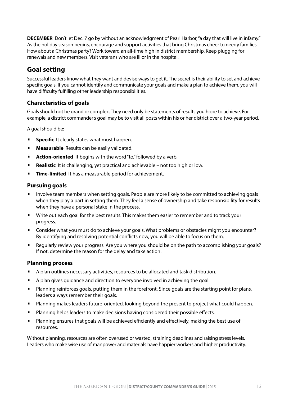**DECEMBER** Don't let Dec. 7 go by without an acknowledgment of Pearl Harbor, "a day that will live in infamy." As the holiday season begins, encourage and support activities that bring Christmas cheer to needy families. How about a Christmas party? Work toward an all-time high in district membership. Keep plugging for renewals and new members. Visit veterans who are ill or in the hospital.

# **Goal setting**

Successful leaders know what they want and devise ways to get it. The secret is their ability to set and achieve specific goals. If you cannot identify and communicate your goals and make a plan to achieve them, you will have difficulty fulfilling other leadership responsibilities.

### **Characteristics of goals**

Goals should not be grand or complex. They need only be statements of results you hope to achieve. For example, a district commander's goal may be to visit all posts within his or her district over a two-year period.

A goal should be:

- **Specific**It clearly states what must happen.
- **Measurable**Results can be easily validated.
- **Action-oriented** It begins with the word "to," followed by a verb.
- **Realistic** It is challenging, yet practical and achievable not too high or low.
- **Time-limited** It has a measurable period for achievement.

#### **Pursuing goals**

- Involve team members when setting goals. People are more likely to be committed to achieving goals when they play a part in setting them. They feel a sense of ownership and take responsibility for results when they have a personal stake in the process.
- Write out each goal for the best results. This makes them easier to remember and to track your progress.
- Consider what you must do to achieve your goals. What problems or obstacles might you encounter? By identifying and resolving potential conflicts now, you will be able to focus on them.
- Regularly review your progress. Are you where you should be on the path to accomplishing your goals? If not, determine the reason for the delay and take action.

### **Planning process**

- A plan outlines necessary activities, resources to be allocated and task distribution.
- A plan gives guidance and direction to everyone involved in achieving the goal.
- Planning reinforces goals, putting them in the forefront. Since goals are the starting point for plans, leaders always remember their goals.
- Planning makes leaders future-oriented, looking beyond the present to project what could happen.
- Planning helps leaders to make decisions having considered their possible effects.
- Planning ensures that goals will be achieved efficiently and effectively, making the best use of resources.

Without planning, resources are often overused or wasted, straining deadlines and raising stress levels. Leaders who make wise use of manpower and materials have happier workers and higher productivity.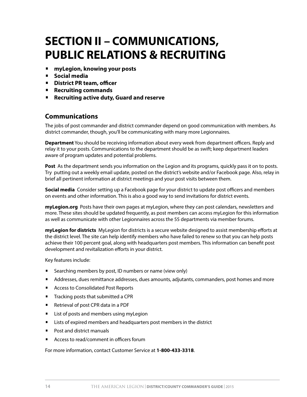# **SECTION II – COMMUNICATIONS, PUBLIC RELATIONS & RECRUITING**

- **myLegion, knowing your posts**
- **Social media**
- **District PR team, officer**
- **Recruiting commands**
- **Recruiting active duty, Guard and reserve**

### **Communications**

The jobs of post commander and district commander depend on good communication with members. As district commander, though, you'll be communicating with many more Legionnaires.

**Department** You should be receiving information about every week from department officers. Reply and relay it to your posts. Communications to the department should be as swift; keep department leaders aware of program updates and potential problems.

**Post** As the department sends you information on the Legion and its programs, quickly pass it on to posts. Try putting out a weekly email update, posted on the district's website and/or Facebook page. Also, relay in brief all pertinent information at district meetings and your post visits between them.

**Social media** Consider setting up a Facebook page for your district to update post officers and members on events and other information. This is also a good way to send invitations for district events.

**myLegion.org** Posts have their own pages at myLegion, where they can post calendars, newsletters and more. These sites should be updated frequently, as post members can access myLegion for this information as well as communicate with other Legionnaires across the 55 departments via member forums.

**myLegion for districts** MyLegion for districts is a secure website designed to assist membership efforts at the district level. The site can help identify members who have failed to renew so that you can help posts achieve their 100 percent goal, along with headquarters post members. This information can benefit post development and revitalization efforts in your district.

Key features include:

- **E** Searching members by post, ID numbers or name (view only)
- Addresses, dues remittance addresses, dues amounts, adjutants, commanders, post homes and more
- Access to Consolidated Post Reports
- **•** Tracking posts that submitted a CPR
- Retrieval of post CPR data in a PDF
- **•** List of posts and members using myLegion
- **•** Lists of expired members and headquarters post members in the district
- Post and district manuals
- **•** Access to read/comment in officers forum

For more information, contact Customer Service at **1-800-433-3318**.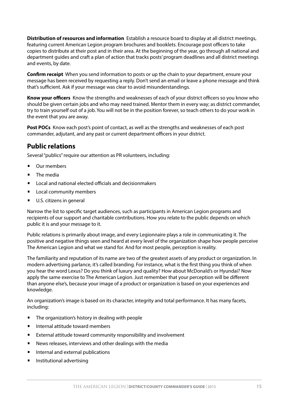**Distribution of resources and information** Establish a resource board to display at all district meetings, featuring current American Legion program brochures and booklets. Encourage post officers to take copies to distribute at their post and in their area. At the beginning of the year, go through all national and department guides and craft a plan of action that tracks posts' program deadlines and all district meetings and events, by date.

**Confirm receipt** When you send information to posts or up the chain to your department, ensure your message has been received by requesting a reply. Don't send an email or leave a phone message and think that's sufficient. Ask if your message was clear to avoid misunderstandings.

**Know your officers** Know the strengths and weaknesses of each of your district officers so you know who should be given certain jobs and who may need trained. Mentor them in every way; as district commander, try to train yourself out of a job. You will not be in the position forever, so teach others to do your work in the event that you are away.

**Post POCs** Know each post's point of contact, as well as the strengths and weaknesses of each post commander, adjutant, and any past or current department officers in your district.

# **Public relations**

Several "publics" require our attention as PR volunteers, including:

- Our members
- The media
- Local and national elected officials and decisionmakers
- Local community members
- U.S. citizens in general

Narrow the list to specific target audiences, such as participants in American Legion programs and recipients of our support and charitable contributions. How you relate to the public depends on which public it is and your message to it.

Public relations is primarily about image, and every Legionnaire plays a role in communicating it. The positive and negative things seen and heard at every level of the organization shape how people perceive The American Legion and what we stand for. And for most people, perception is reality.

The familiarity and reputation of its name are two of the greatest assets of any product or organization. In modern advertising parlance, it's called branding. For instance, what is the first thing you think of when you hear the word Lexus? Do you think of luxury and quality? How about McDonald's or Hyundai? Now apply the same exercise to The American Legion. Just remember that your perception will be different than anyone else's, because your image of a product or organization is based on your experiences and knowledge.

An organization's image is based on its character, integrity and total performance. It has many facets, including:

- The organization's history in dealing with people
- Internal attitude toward members
- External attitude toward community responsibility and involvement
- News releases, interviews and other dealings with the media
- Internal and external publications
- Institutional advertising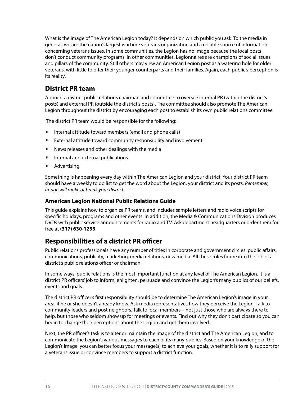What is the image of The American Legion today? It depends on which public you ask. To the media in general, we are the nation's largest wartime veterans organization and a reliable source of information concerning veterans issues. In some communities, the Legion has no image because the local posts don't conduct community programs. In other communities, Legionnaires are champions of social issues and pillars of the community. Still others may view an American Legion post as a watering hole for older veterans, with little to offer their younger counterparts and their families. Again, each public's perception is its reality.

# **District PR team**

Appoint a district public relations chairman and committee to oversee internal PR (within the district's posts) and external PR (outside the district's posts). The committee should also promote The American Legion throughout the district by encouraging each post to establish its own public relations committee.

The district PR team would be responsible for the following:

- Internal attitude toward members (email and phone calls)
- External attitude toward community responsibility and involvement
- News releases and other dealings with the media
- **•** Internal and external publications
- Advertising

Something is happening every day within The American Legion and your district. Your district PR team should have a weekly to do list to get the word about the Legion, your district and its posts. *Remember, image will make or break your district.*

### **American Legion National Public Relations Guide**

This guide explains how to organize PR teams, and includes sample letters and radio voice scripts for specific holidays, programs and other events. In addition, the Media & Communications Division produces DVDs with public service announcements for radio and TV. Ask department headquarters or order them for free at **(317) 630-1253**.

# **Responsibilities of a district PR officer**

Public relations professionals have any number of titles in corporate and government circles: public affairs, communications, publicity, marketing, media relations, new media. All these roles figure into the job of a district's public relations officer or chairman.

In some ways, public relations is the most important function at any level of The American Legion. It is a district PR officers' job to inform, enlighten, persuade and convince the Legion's many publics of our beliefs, events and goals.

The district PR officer's first responsibility should be to determine The American Legion's image in your area, if he or she doesn't already know. Ask media representatives how they perceive the Legion. Talk to community leaders and post neighbors. Talk to local members – not just those who are always there to help, but those who seldom show up for meetings or events. Find out why they don't participate so you can begin to change their perceptions about the Legion and get them involved.

Next, the PR officer's task is to alter or maintain the image of the district and The American Legion, and to communicate the Legion's various messages to each of its many publics. Based on your knowledge of the Legion's image, you can better focus your message(s) to achieve your goals, whether it is to rally support for a veterans issue or convince members to support a district function.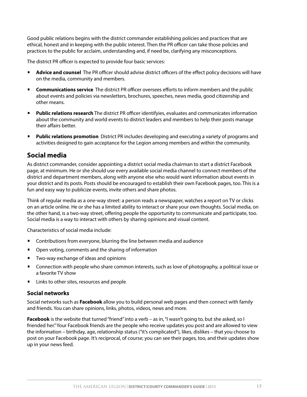Good public relations begins with the district commander establishing policies and practices that are ethical, honest and in keeping with the public interest. Then the PR officer can take those policies and practices to the public for acclaim, understanding and, if need be, clarifying any misconceptions.

The district PR officer is expected to provide four basic services:

- **Advice and counsel** The PR officer should advise district officers of the effect policy decisions will have on the media, community and members.
- **Communications service** The district PR officer oversees efforts to inform members and the public about events and policies via newsletters, brochures, speeches, news media, good citizenship and other means.
- **Public relations research** The district PR officer identifyies, evaluates and communicates information about the community and world events to district leaders and members to help their posts manage their affairs better.
- **Public relations promotion** District PR includes developing and executing a variety of programs and activities designed to gain acceptance for the Legion among members and within the community.

# **Social media**

As district commander, consider appointing a district social media chairman to start a district Facebook page, at minimum. He or she should use every available social media channel to connect members of the district and department members, along with anyone else who would want information about events in your district and its posts. Posts should be encouraged to establish their own Facebook pages, too. This is a fun and easy way to publicize events, invite others and share photos.

Think of regular media as a one-way street: a person reads a newspaper, watches a report on TV or clicks on an article online. He or she has a limited ability to interact or share your own thoughts. Social media, on the other hand, is a two-way street, offering people the opportunity to communicate and participate, too. Social media is a way to interact with others by sharing opinions and visual content.

Characteristics of social media include:

- Contributions from everyone, blurring the line between media and audience
- Open voting, comments and the sharing of information
- Two-way exchange of ideas and opinions
- Connection with people who share common interests, such as love of photography, a political issue or a favorite TV show
- Links to other sites, resources and people

#### **Social networks**

Social networks such as **Facebook** allow you to build personal web pages and then connect with family and friends. You can share opinions, links, photos, videos, news and more.

**Facebook** is the website that turned "friend" into a verb – as in, "I wasn't going to, but she asked, so I friended her." Your Facebook friends are the people who receive updates you post and are allowed to view the information – birthday, age, relationship status ("it's complicated"), likes, dislikes – that you choose to post on your Facebook page. It's reciprocal, of course; you can see their pages, too, and their updates show up in your news feed.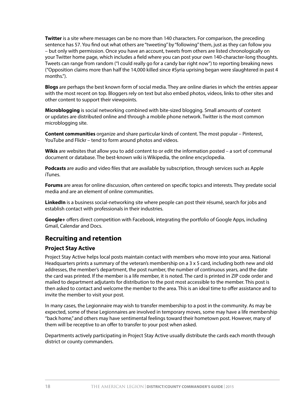**Twitter** is a site where messages can be no more than 140 characters. For comparison, the preceding sentence has 57. You find out what others are "tweeting" by "following" them, just as they can follow you – but only with permission. Once you have an account, tweets from others are listed chronologically on your Twitter home page, which includes a field where you can post your own 140-character-long thoughts. Tweets can range from random ("I could really go for a candy bar right now") to reporting breaking news ("Opposition claims more than half the 14,000 killed since #Syria uprising began were slaughtered in past 4 months.").

**Blogs** are perhaps the best known form of social media. They are online diaries in which the entries appear with the most recent on top. Bloggers rely on text but also embed photos, videos, links to other sites and other content to support their viewpoints.

**Microblogging** is social networking combined with bite-sized blogging. Small amounts of content or updates are distributed online and through a mobile phone network. Twitter is the most common microblogging site.

**Content communities** organize and share particular kinds of content. The most popular – Pinterest, YouTube and Flickr – tend to form around photos and videos.

**Wikis** are websites that allow you to add content to or edit the information posted – a sort of communal document or database. The best-known wiki is Wikipedia, the online encyclopedia.

**Podcasts** are audio and video files that are available by subscription, through services such as Apple iTunes.

**Forums** are areas for online discussion, often centered on specific topics and interests. They predate social media and are an element of online communities.

**LinkedIn** is a business social-networking site where people can post their résumé, search for jobs and establish contact with professionals in their industries.

**Google+** offers direct competition with Facebook, integrating the portfolio of Google Apps, including Gmail, Calendar and Docs.

# **Recruiting and retention**

#### **Project Stay Active**

Project Stay Active helps local posts maintain contact with members who move into your area. National Headquarters prints a summary of the veteran's membership on a 3 x 5 card, including both new and old addresses, the member's department, the post number, the number of continuous years, and the date the card was printed. If the member is a life member, it is noted. The card is printed in ZIP code order and mailed to department adjutants for distribution to the post most accessible to the member. This post is then asked to contact and welcome the member to the area. This is an ideal time to offer assistance and to invite the member to visit your post.

In many cases, the Legionnaire may wish to transfer membership to a post in the community. As may be expected, some of these Legionnaires are involved in temporary moves, some may have a life membership "back home," and others may have sentimental feelings toward their hometown post. However, many of them will be receptive to an offer to transfer to your post when asked.

Departments actively participating in Project Stay Active usually distribute the cards each month through district or county commanders.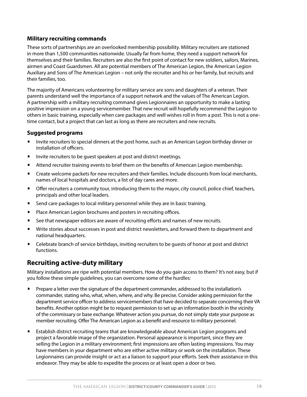### **Military recruiting commands**

These sorts of partnerships are an overlooked membership possibility. Military recruiters are stationed in more than 1,500 communities nationwide. Usually far from home, they need a support network for themselves and their families. Recruiters are also the first point of contact for new soldiers, sailors, Marines, airmen and Coast Guardsmen. All are potential members of The American Legion, the American Legion Auxiliary and Sons of The American Legion – not only the recruiter and his or her family, but recruits and their families, too.

The majority of Americans volunteering for military service are sons and daughters of a veteran. Their parents understand well the importance of a support network and the values of The American Legion. A partnership with a military recruiting command gives Legionnaires an opportunity to make a lasting positive impression on a young servicemember. That new recruit will hopefully recommend the Legion to others in basic training, especially when care packages and well wishes roll in from a post. This is not a onetime contact, but a project that can last as long as there are recruiters and new recruits.

#### **Suggested programs**

- Invite recruiters to special dinners at the post home, such as an American Legion birthday dinner or installation of officers.
- Invite recruiters to be guest speakers at post and district meetings.
- **Attend recruiter training events to brief them on the benefits of American Legion membership.**
- **•** Create welcome packets for new recruiters and their families. Include discounts from local merchants, names of local hospitals and doctors, a list of day cares and more.
- Offer recruiters a community tour, introducing them to the mayor, city council, police chief, teachers, principals and other local leaders.
- Send care packages to local military personnel while they are in basic training.
- Place American Legion brochures and posters in recruiting offices.
- **•** See that newspaper editors are aware of recruiting efforts and names of new recruits.
- Write stories about successes in post and district newsletters, and forward them to department and national headquarters.
- Celebrate branch of service birthdays, inviting recruiters to be guests of honor at post and district functions.

# **Recruiting active-duty military**

Military installations are ripe with potential members. How do you gain access to them? It's not easy, but if you follow these simple guidelines, you can overcome some of the hurdles:

- Prepare a letter over the signature of the department commander, addressed to the installation's commander, stating who, what, when, where, and why. Be precise. Consider asking permission for the department service officer to address servicemembers that have decided to separate concerning their VA benefits. Another option might be to request permission to set up an information booth in the vicinity of the commissary or base exchange. Whatever action you pursue, do not simply state your purpose as member recruiting. Offer The American Legion as a benefit and resource to military personnel.
- Establish district recruiting teams that are knowledgeable about American Legion programs and project a favorable image of the organization. Personal appearance is important, since they are selling the Legion in a military environment; first impressions are often lasting impressions. You may have members in your department who are either active military or work on the installation. These Legionnaires can provide insight or act as a liaison to support your efforts. Seek their assistance in this endeavor. They may be able to expedite the process or at least open a door or two.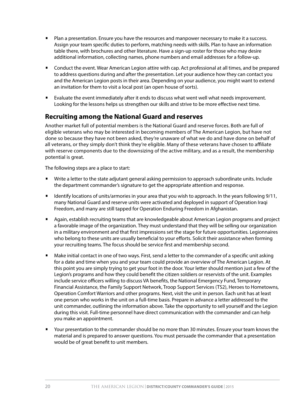- **Plan a presentation. Ensure you have the resources and manpower necessary to make it a success.** Assign your team specific duties to perform, matching needs with skills. Plan to have an information table there, with brochures and other literature. Have a sign-up roster for those who may desire additional information, collecting names, phone numbers and email addresses for a follow-up.
- Conduct the event. Wear American Legion attire with cap. Act professional at all times, and be prepared to address questions during and after the presentation. Let your audience how they can contact you and the American Legion posts in their area. Depending on your audience, you might want to extend an invitation for them to visit a local post (an open house of sorts).
- Evaluate the event immediately after it ends to discuss what went well what needs improvement. Looking for the lessons helps us strengthen our skills and strive to be more effective next time.

# **Recruiting among the National Guard and reserves**

Another market full of potential members is the National Guard and reserve forces. Both are full of eligible veterans who may be interested in becoming members of The American Legion, but have not done so because they have not been asked, they're unaware of what we do and have done on behalf of all veterans, or they simply don't think they're eligible. Many of these veterans have chosen to affiliate with reserve components due to the downsizing of the active military, and as a result, the membership potential is great.

The following steps are a place to start:

- Write a letter to the state adjutant general asking permission to approach subordinate units. Include the department commander's signature to get the appropriate attention and response.
- Identify locations of units/armories in your area that you wish to approach. In the years following 9/11, many National Guard and reserve units were activated and deployed in support of Operation Iraqi Freedom, and many are still tapped for Operation Enduring Freedom in Afghanistan.
- Again, establish recruiting teams that are knowledgeable about American Legion programs and project a favorable image of the organization. They must understand that they will be selling our organization in a military environment and that first impressions set the stage for future opportunities. Legionnaires who belong to these units are usually beneficial to your efforts. Solicit their assistance when forming your recruiting teams. The focus should be service first and membership second.
- Make initial contact in one of two ways. First, send a letter to the commander of a specific unit asking for a date and time when you and your team could provide an overview of The American Legion. At this point you are simply trying to get your foot in the door. Your letter should mention just a few of the Legion's programs and how they could benefit the citizen soldiers or reservists of the unit. Examples include service officers willing to discuss VA benefits, the National Emergency Fund, Temporary Financial Assistance, the Family Support Network, Troop Support Services (TS2), Heroes to Hometowns, Operation Comfort Warriors and other programs. Next, visit the unit in person. Each unit has at least one person who works in the unit on a full-time basis. Prepare in advance a letter addressed to the unit commander, outlining the information above. Take the opportunity to sell yourself and the Legion during this visit. Full-time personnel have direct communication with the commander and can help you make an appointment.
- Your presentation to the commander should be no more than 30 minutes. Ensure your team knows the material and is prepared to answer questions. You must persuade the commander that a presentation would be of great benefit to unit members.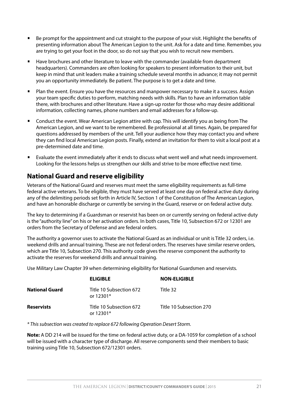- Be prompt for the appointment and cut straight to the purpose of your visit. Highlight the benefits of presenting information about The American Legion to the unit. Ask for a date and time. Remember, you are trying to get your foot in the door, so do not say that you wish to recruit new members.
- Have brochures and other literature to leave with the commander (available from department headquarters). Commanders are often looking for speakers to present information to their unit, but keep in mind that unit leaders make a training schedule several months in advance; it may not permit you an opportunity immediately. Be patient. The purpose is to get a date and time.
- Plan the event. Ensure you have the resources and manpower necessary to make it a success. Assign your team specific duties to perform, matching needs with skills. Plan to have an information table there, with brochures and other literature. Have a sign-up roster for those who may desire additional information, collecting names, phone numbers and email addresses for a follow-up.
- Conduct the event. Wear American Legion attire with cap. This will identify you as being from The American Legion, and we want to be remembered. Be professional at all times. Again, be prepared for questions addressed by members of the unit. Tell your audience how they may contact you and where they can find local American Legion posts. Finally, extend an invitation for them to visit a local post at a pre-determined date and time.
- Evaluate the event immediately after it ends to discuss what went well and what needs improvement. Looking for the lessons helps us strengthen our skills and strive to be more effective next time.

# **National Guard and reserve eligibility**

Veterans of the National Guard and reserves must meet the same eligibility requirements as full-time federal active veterans. To be eligible, they must have served at least one day on federal active duty during any of the delimiting periods set forth in Article IV, Section 1 of the Constitution of The American Legion, and have an honorable discharge or currently be serving in the Guard, reserve or on federal active duty.

The key to determining if a Guardsman or reservist has been on or currently serving on federal active duty is the "authority line" on his or her activation orders. In both cases, Title 10, Subsection 672 or 12301 are orders from the Secretary of Defense and are federal orders.

The authority a governor uses to activate the National Guard as an individual or unit is Title 32 orders, i.e. weekend drills and annual training. These are not federal orders. The reserves have similar reserve orders, which are Title 10, Subsection 270. This authority code gives the reserve component the authority to activate the reserves for weekend drills and annual training.

Use Military Law Chapter 39 when determining eligibility for National Guardsmen and reservists.

|                       | <b>ELIGIBLE</b>                        | <b>NON-ELIGIBLE</b>     |
|-----------------------|----------------------------------------|-------------------------|
| <b>National Guard</b> | Title 10 Subsection 672<br>or $12301*$ | Title 32                |
| <b>Reservists</b>     | Title 10 Subsection 672<br>or $12301*$ | Title 10 Subsection 270 |

*\* This subsection was created to replace 672 following Operation Desert Storm.*

**Note:** A DD 214 will be issued for the time on federal active duty, or a DA-1059 for completion of a school will be issued with a character type of discharge. All reserve components send their members to basic training using Title 10, Subsection 672/12301 orders.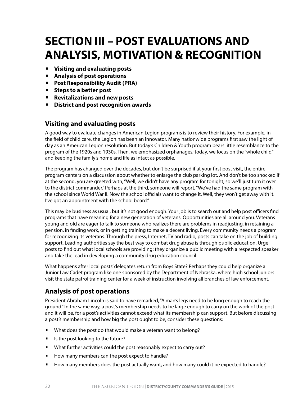# **SECTION III – POST EVALUATIONS AND ANALYSIS, MOTIVATION & RECOGNITION**

- **Visiting and evaluating posts**
- **Analysis of post operations**
- **Post Responsibility Audit (PRA)**
- **Steps to a better post**
- **Revitalizations and new posts**
- **District and post recognition awards**

# **Visiting and evaluating posts**

A good way to evaluate changes in American Legion programs is to review their history. For example, in the field of child care, the Legion has been an innovator. Many nationwide programs first saw the light of day as an American Legion resolution. But today's Children & Youth program bears little resemblance to the program of the 1920s and 1930s. Then, we emphasized orphanages; today, we focus on the "whole child" and keeping the family's home and life as intact as possible.

The program has changed over the decades, but don't be surprised if at your first post visit, the entire program centers on a discussion about whether to enlarge the club parking lot. And don't be too shocked if at the second, you are greeted with, "Well, we didn't have any program for tonight, so we'll just turn it over to the district commander." Perhaps at the third, someone will report, "We've had the same program with the school since World War II. Now the school officials want to change it. Well, they won't get away with it. I've got an appointment with the school board."

This may be business as usual, but it's not good enough. Your job is to search out and help post officers find programs that have meaning for a new generation of veterans. Opportunities are all around you. Veterans young and old are eager to talk to someone who realizes there are problems in readjusting, in retaining a pension, in finding work, or in getting training to make a decent living. Every community needs a program for recognizing its veterans. Through the press, Internet, TV and radio, posts can take on the job of building support. Leading authorities say the best way to combat drug abuse is through public education. Urge posts to find out what local schools are providing; they organize a public meeting with a respected speaker and take the lead in developing a community drug education council.

What happens after local posts' delegates return from Boys State? Perhaps they could help organize a Junior Law Cadet program like one sponsored by the Department of Nebraska, where high school juniors visit the state patrol training center for a week of instruction involving all branches of law enforcement.

# **Analysis of post operations**

President Abraham Lincoln is said to have remarked, "A man's legs need to be long enough to reach the ground." In the same way, a post's membership needs to be large enough to carry on the work of the post – and it will be, for a post's activities cannot exceed what its membership can support. But before discussing a post's membership and how big the post ought to be, consider these questions:

- What does the post do that would make a veteran want to belong?
- **•** Is the post looking to the future?
- What further activities could the post reasonably expect to carry out?
- How many members can the post expect to handle?
- How many members does the post actually want, and how many could it be expected to handle?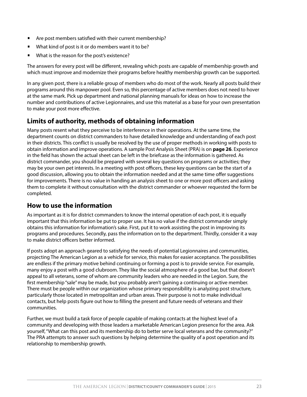- Are post members satisfied with their current membership?
- What kind of post is it or do members want it to be?
- What is the reason for the post's existence?

The answers for every post will be different, revealing which posts are capable of membership growth and which must improve and modernize their programs before healthy membership growth can be supported.

In any given post, there is a reliable group of members who do most of the work. Nearly all posts build their programs around this manpower pool. Even so, this percentage of active members does not need to hover at the same mark. Pick up department and national planning manuals for ideas on how to increase the number and contributions of active Legionnaires, and use this material as a base for your own presentation to make your post more effective.

# **Limits of authority, methods of obtaining information**

Many posts resent what they perceive to be interference in their operations. At the same time, the department counts on district commanders to have detailed knowledge and understanding of each post in their districts. This conflict is usually be resolved by the use of proper methods in working with posts to obtain information and improve operations. A sample Post Analysis Sheet (PRA) is on **page 26**. Experience in the field has shown the actual sheet can be left in the briefcase as the information is gathered. As district commander, you should be prepared with several key questions on programs or activities; they may be your own pet interests. In a meeting with post officers, these key questions can be the start of a good discussion, allowing you to obtain the information needed and at the same time offer suggestions for improvements. There is no value in handing an analysis sheet to one or more post officers and asking them to complete it without consultation with the district commander or whoever requested the form be completed.

### **How to use the information**

As important as it is for district commanders to know the internal operation of each post, it is equally important that this information be put to proper use. It has no value if the district commander simply obtains this information for information's sake. First, put it to work assisting the post in improving its programs and procedures. Secondly, pass the information on to the department. Thirdly, consider it a way to make district officers better informed.

If posts adopt an approach geared to satisfying the needs of potential Legionnaires and communities, projecting The American Legion as a vehicle for service, this makes for easier acceptance. The possibilities are endless if the primary motive behind continuing or forming a post is to provide service. For example, many enjoy a post with a good clubroom. They like the social atmosphere of a good bar, but that doesn't appeal to all veterans, some of whom are community leaders who are needed in the Legion. Sure, the first membership "sale" may be made, but you probably aren't gaining a continuing or active member. There must be people within our organization whose primary responsibility is analyzing post structure, particularly those located in metropolitan and urban areas. Their purpose is not to make individual contacts, but help posts figure out how to filling the present and future needs of veterans and their communities.

Further, we must build a task force of people capable of making contacts at the highest level of a community and developing with those leaders a marketable American Legion presence for the area. Ask yourself, "What can this post and its membership do to better serve local veterans and the community?" The PRA attempts to answer such questions by helping determine the quality of a post operation and its relationship to membership growth.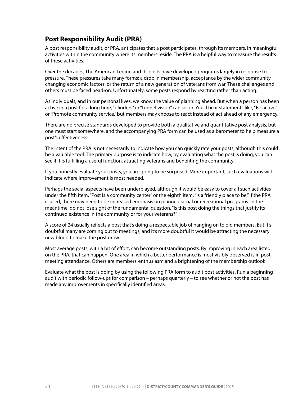# **Post Responsibility Audit (PRA)**

A post responsibility audit, or PRA, anticipates that a post participates, through its members, in meaningful activities within the community where its members reside. The PRA is a helpful way to measure the results of these activities.

Over the decades, The American Legion and its posts have developed programs largely in response to pressure. These pressures take many forms: a drop in membership, acceptance by the wider community, changing economic factors, or the return of a new generation of veterans from war. These challenges and others must be faced head-on. Unfortunately, some posts respond by reacting rather than acting.

As individuals, and in our personal lives, we know the value of planning ahead. But when a person has been active in a post for a long time, "blinders" or "tunnel vision" can set in. You'll hear statements like, "Be active" or "Promote community service," but members may choose to react instead of act ahead of any emergency.

There are no precise standards developed to provide both a qualitative and quantitative post analysis, but one must start somewhere, and the accompanying PRA form can be used as a barometer to help measure a post's effectiveness.

The intent of the PRA is not necessarily to indicate how you can quickly rate your posts, although this could be a valuable tool. The primary purpose is to indicate how, by evaluating what the post is doing, you can see if it is fulfilling a useful function, attracting veterans and benefiting the community.

If you honestly evaluate your posts, you are going to be surprised. More important, such evaluations will indicate where improvement is most needed.

Perhaps the social aspects have been underplayed, although it would be easy to cover all such activities under the fifth item, "Post is a community center" or the eighth item, "Is a friendly place to be." If the PRA is used, there may need to be increased emphasis on planned social or recreational programs. In the meantime, do not lose sight of the fundamental question, "Is this post doing the things that justify its continued existence in the community or for your veterans?"

A score of 24 usually reflects a post that's doing a respectable job of hanging on to old members. But it's doubtful many are coming out to meetings, and it's more doubtful it would be attracting the necessary new blood to make the post grow.

Most average posts, with a bit of effort, can become outstanding posts. By improving in each area listed on the PRA, that can happen. One area in which a better performance is most visibly observed is in post meeting attendance. Others are members' enthusiasm and a brightening of the membership outlook.

Evaluate what the post is doing by using the following PRA form to audit post activities. Run a beginning audit with periodic follow-ups for comparison – perhaps quarterly – to see whether or not the post has made any improvements in specifically identified areas.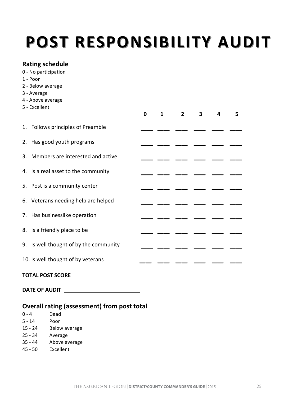# **POST RESPONSIBILITY AUDIT**

# **Rating schedule**

- 0 No participation
- 1 Poor
- 2 Below average
- 3 Average
- 4 Above average
- 5 Excellent

|                                        | 0 | 1 | 2 | 3 | 4 | 5 |
|----------------------------------------|---|---|---|---|---|---|
| 1. Follows principles of Preamble      |   |   |   |   |   |   |
| 2. Has good youth programs             |   |   |   |   |   |   |
| 3. Members are interested and active   |   |   |   |   |   |   |
| 4. Is a real asset to the community    |   |   |   |   |   |   |
| 5. Post is a community center          |   |   |   |   |   |   |
| 6. Veterans needing help are helped    |   |   |   |   |   |   |
| 7. Has businesslike operation          |   |   |   |   |   |   |
| 8. Is a friendly place to be           |   |   |   |   |   |   |
| 9. Is well thought of by the community |   |   |   |   |   |   |
| 10. Is well thought of by veterans     |   |   |   |   |   |   |
|                                        |   |   |   |   |   |   |

### **TOTAL POST SCORE**

**DATE OF AUDIT** 

# **Overall rating (assessment) from post total**

| በ - 4     | Dead          |
|-----------|---------------|
| 5 - 14    | Poor          |
| $15 - 24$ | Below average |
| $25 - 34$ | Average       |
| $35 - 44$ | Above average |
| $45 - 50$ | Excellent     |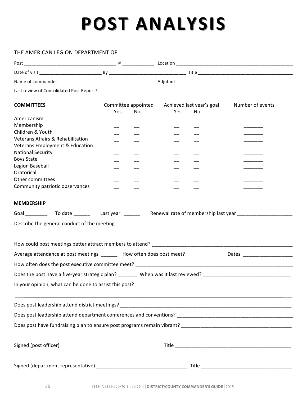# **POST 
ANALYSIS POST 
ANALYSIS POST 
ANALYSIS POST 
ANALYSIS**

| <b>COMMITTEES</b>                                                                               | Yes | No | Yes | Committee appointed Achieved last year's goal<br>No | Number of events |  |
|-------------------------------------------------------------------------------------------------|-----|----|-----|-----------------------------------------------------|------------------|--|
| Americanism                                                                                     |     |    |     |                                                     |                  |  |
| Membership                                                                                      |     |    |     |                                                     |                  |  |
| Children & Youth                                                                                |     |    |     |                                                     |                  |  |
| <b>Veterans Affairs &amp; Rehabilitation</b>                                                    |     |    |     |                                                     |                  |  |
| Veterans Employment & Education                                                                 |     |    |     |                                                     |                  |  |
| <b>National Security</b>                                                                        |     |    |     |                                                     |                  |  |
| <b>Boys State</b>                                                                               |     |    |     |                                                     |                  |  |
| Legion Baseball                                                                                 |     |    |     |                                                     |                  |  |
| Oratorical                                                                                      |     |    |     |                                                     |                  |  |
| Other committees                                                                                |     |    |     |                                                     |                  |  |
| Community patriotic observances                                                                 |     |    |     |                                                     |                  |  |
| <b>MEMBERSHIP</b>                                                                               |     |    |     |                                                     |                  |  |
|                                                                                                 |     |    |     |                                                     |                  |  |
|                                                                                                 |     |    |     |                                                     |                  |  |
|                                                                                                 |     |    |     |                                                     |                  |  |
| Does the post have a five-year strategic plan? _______ When was it last reviewed? _____________ |     |    |     |                                                     |                  |  |
|                                                                                                 |     |    |     |                                                     |                  |  |
|                                                                                                 |     |    |     |                                                     |                  |  |
|                                                                                                 |     |    |     |                                                     |                  |  |
|                                                                                                 |     |    |     |                                                     |                  |  |
|                                                                                                 |     |    |     |                                                     |                  |  |
|                                                                                                 |     |    |     |                                                     |                  |  |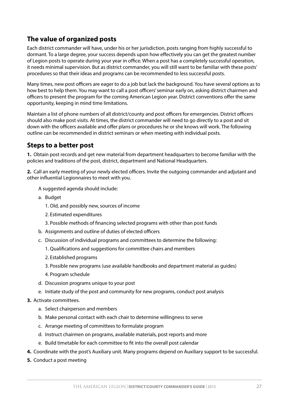# **The value of organized posts**

Each district commander will have, under his or her jurisdiction, posts ranging from highly successful to dormant. To a large degree, your success depends upon how effectively you can get the greatest number of Legion posts to operate during your year in office. When a post has a completely successful operation, it needs minimal supervision. But as district commander, you will still want to be familiar with these posts' procedures so that their ideas and programs can be recommended to less successful posts.

Many times, new post officers are eager to do a job but lack the background. You have several options as to how best to help them. You may want to call a post officers' seminar early on, asking district chairmen and officers to present the program for the coming American Legion year. District conventions offer the same opportunity, keeping in mind time limitations.

Maintain a list of phone numbers of all district/county and post officers for emergencies. District officers should also make post visits. At times, the district commander will need to go directly to a post and sit down with the officers available and offer plans or procedures he or she knows will work. The following outline can be recommended in district seminars or when meeting with individual posts.

# **Steps to a better post**

**1.** Obtain post records and get new material from department headquarters to become familiar with the policies and traditions of the post, district, department and National Headquarters.

**2.** Call an early meeting of your newly elected officers. Invite the outgoing commander and adjutant and other influential Legionnaires to meet with you.

A suggested agenda should include:

- a. Budget
	- 1. Old, and possibly new, sources of income
	- 2. Estimated expenditures
	- 3. Possible methods of financing selected programs with other than post funds
- b. Assignments and outline of duties of elected officers
- c. Discussion of individual programs and committees to determine the following:
	- 1. Qualifications and suggestions for committee chairs and members
	- 2. Established programs
	- 3. Possible new programs (use available handbooks and department material as guides)
	- 4. Program schedule
- d. Discussion programs unique to your post
- e. Initiate study of the post and community for new programs, conduct post analysis
- **3.** Activate committees.
	- a. Select chairperson and members
	- b. Make personal contact with each chair to determine willingness to serve
	- c. Arrange meeting of committees to formulate program
	- d. Instruct chairmen on programs, available materials, post reports and more
	- e. Build timetable for each committee to fit into the overall post calendar
- **4.** Coordinate with the post's Auxiliary unit. Many programs depend on Auxiliary support to be successful.
- **5.** Conduct a post meeting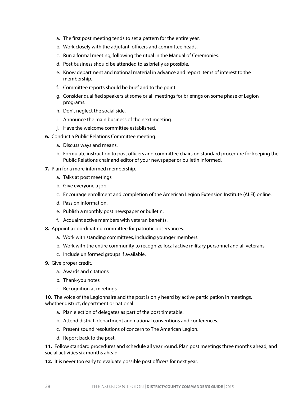- a. The first post meeting tends to set a pattern for the entire year.
- b. Work closely with the adjutant, officers and committee heads.
- c. Run a formal meeting, following the ritual in the Manual of Ceremonies.
- d. Post business should be attended to as briefly as possible.
- e. Know department and national material in advance and report items of interest to the membership.
- f. Committee reports should be brief and to the point.
- g. Consider qualified speakers at some or all meetings for briefings on some phase of Legion programs.
- h. Don't neglect the social side.
- i. Announce the main business of the next meeting.
- j. Have the welcome committee established.
- **6.** Conduct a Public Relations Committee meeting.
	- a. Discuss ways and means.
	- b. Formulate instruction to post officers and committee chairs on standard procedure for keeping the Public Relations chair and editor of your newspaper or bulletin informed.
- **7.** Plan for a more informed membership.
	- a. Talks at post meetings
	- b. Give everyone a job.
	- c. Encourage enrollment and completion of the American Legion Extension Institute (ALEI) online.
	- d. Pass on information.
	- e. Publish a monthly post newspaper or bulletin.
	- f. Acquaint active members with veteran benefits.
- **8.** Appoint a coordinating committee for patriotic observances.
	- a. Work with standing committees, including younger members.
	- b. Work with the entire community to recognize local active military personnel and all veterans.
	- c. Include uniformed groups if available.
- **9.** Give proper credit.
	- a. Awards and citations
	- b. Thank-you notes
	- c. Recognition at meetings

**10.** The voice of the Legionnaire and the post is only heard by active participation in meetings, whether district, department or national.

- a. Plan election of delegates as part of the post timetable.
- b. Attend district, department and national conventions and conferences.
- c. Present sound resolutions of concern to The American Legion.
- d. Report back to the post.

**11.** Follow standard procedures and schedule all year round. Plan post meetings three months ahead, and social activities six months ahead.

**12.** It is never too early to evaluate possible post officers for next year.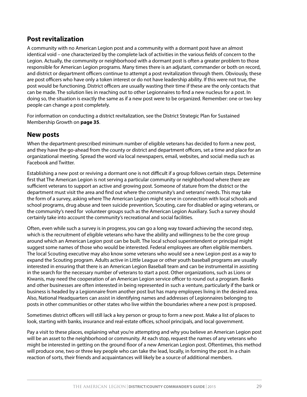# **Post revitalization**

A community with no American Legion post and a community with a dormant post have an almost identical void – one characterized by the complete lack of activities in the various fields of concern to the Legion. Actually, the community or neighborhood with a dormant post is often a greater problem to those responsible for American Legion programs. Many times there is an adjutant, commander or both on record, and district or department officers continue to attempt a post revitalization through them. Obviously, these are post officers who have only a token interest or do not have leadership ability. If this were not true, the post would be functioning. District officers are usually wasting their time if these are the only contacts that can be made. The solution lies in reaching out to other Legionnaires to find a new nucleus for a post. In doing so, the situation is exactly the same as if a new post were to be organized. Remember: one or two key people can change a post completely.

For information on conducting a district revitalization, see the District Strategic Plan for Sustained Membership Growth on **page 35**.

# **New posts**

When the department-prescribed minimum number of eligible veterans has decided to form a new post, and they have the go-ahead from the county or district and department officers, set a time and place for an organizational meeting. Spread the word via local newspapers, email, websites, and social media such as Facebook and Twitter.

Establishing a new post or reviving a dormant one is not difficult if a group follows certain steps. Determine first that The American Legion is not serving a particular community or neighborhood where there are sufficient veterans to support an active and growing post. Someone of stature from the district or the department must visit the area and find out where the community's and veterans' needs. This may take the form of a survey, asking where The American Legion might serve in connection with local schools and school programs, drug abuse and teen suicide prevention, Scouting, care for disabled or aging veterans, or the community's need for volunteer groups such as the American Legion Auxiliary. Such a survey should certainly take into account the community's recreational and social facilities.

Often, even while such a survey is in progress, you can go a long way toward achieving the second step, which is the recruitment of eligible veterans who have the ability and willingness to be the core group around which an American Legion post can be built. The local school superintendent or principal might suggest some names of those who would be interested. Federal employees are often eligible members. The local Scouting executive may also know some veterans who would see a new Legion post as a way to expand the Scouting program. Adults active in Little League or other youth baseball programs are usually interested in ensuring that there is an American Legion Baseball team and can be instrumental in assisting in the search for the necessary number of veterans to start a post. Other organizations, such as Lions or Kiwanis, may need the cooperation of an American Legion service officer to round out a program. Banks and other businesses are often interested in being represented in such a venture, particularly if the bank or business is headed by a Legionnaire from another post but has many employees living in the desired area. Also, National Headquarters can assist in identifying names and addresses of Legionnaires belonging to posts in other communities or other states who live within the boundaries where a new post is proposed.

Sometimes district officers will still lack a key person or group to form a new post. Make a list of places to look, starting with banks, insurance and real-estate offices, school principals, and local government.

Pay a visit to these places, explaining what you're attempting and why you believe an American Legion post will be an asset to the neighborhood or community. At each stop, request the names of any veterans who might be interested in getting on the ground floor of a new American Legion post. Oftentimes, this method will produce one, two or three key people who can take the lead, locally, in forming the post. In a chain reaction of sorts, their friends and acquaintances will likely be a source of additional members.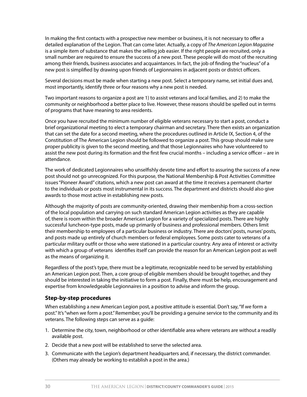In making the first contacts with a prospective new member or business, it is not necessary to offer a detailed explanation of the Legion. That can come later. Actually, a copy of *The American Legion Magazine* is a simple item of substance that makes the selling job easier. If the right people are recruited, only a small number are required to ensure the success of a new post. These people will do most of the recruiting among their friends, business associates and acquaintances. In fact, the job of finding the "nucleus" of a new post is simplified by drawing upon friends of Legionnaires in adjacent posts or district officers.

Several decisions must be made when starting a new post. Select a temporary name, set initial dues and, most importantly, identify three or four reasons why a new post is needed.

Two important reasons to organize a post are 1) to assist veterans and local families, and 2) to make the community or neighborhood a better place to live. However, these reasons should be spelled out in terms of programs that have meaning to area residents.

Once you have recruited the minimum number of eligible veterans necessary to start a post, conduct a brief organizational meeting to elect a temporary chairman and secretary. There then exists an organization that can set the date for a second meeting, where the procedures outlined in Article IX, Section 4, of the Constitution of The American Legion should be followed to organize a post. This group should make sure proper publicity is given to the second meeting, and that those Legionnaires who have volunteered to assist the new post during its formation and the first few crucial months – including a service officer – are in attendance.

The work of dedicated Legionnaires who unselfishly devote time and effort to assuring the success of a new post should not go unrecognized. For this purpose, the National Membership & Post Activities Committee issues "Pioneer Award" citations, which a new post can award at the time it receives a permanent charter to the individuals or posts most instrumental in its success. The department and districts should also give awards to those most active in establishing new posts.

Although the majority of posts are community-oriented, drawing their membership from a cross-section of the local population and carrying on such standard American Legion activities as they are capable of, there is room within the broader American Legion for a variety of specialized posts. There are highly successful luncheon-type posts, made up primarily of business and professional members. Others limit their membership to employees of a particular business or industry. There are doctors' posts, nurses' posts, and posts made up entirely of church members or federal employees. Some posts cater to veterans of a particular military outfit or those who were stationed in a particular country. Any area of interest or activity with which a group of veterans identifies itself can provide the reason for an American Legion post as well as the means of organizing it.

Regardless of the post's type, there must be a legitimate, recognizable need to be served by establishing an American Legion post. Then, a core group of eligible members should be brought together, and they should be interested in taking the initiative to form a post. Finally, there must be help, encouragement and expertise from knowledgeable Legionnaires in a position to advise and inform the group.

#### **Step-by-step procedures**

When establishing a new American Legion post, a positive attitude is essential. Don't say, "If we form a post." It's "when we form a post." Remember, you'll be providing a genuine service to the community and its veterans. The following steps can serve as a guide:

- 1. Determine the city, town, neighborhood or other identifiable area where veterans are without a readily available post.
- 2. Decide that a new post will be established to serve the selected area.
- 3. Communicate with the Legion's department headquarters and, if necessary, the district commander. (Others may already be working to establish a post in the area.)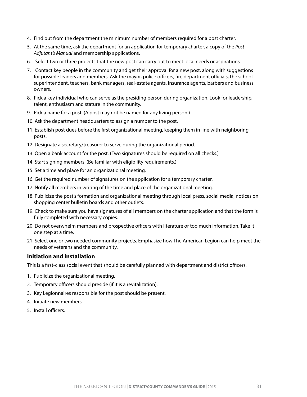- 4. Find out from the department the minimum number of members required for a post charter.
- 5. At the same time, ask the department for an application for temporary charter, a copy of the *Post Adjutant's Manual* and membership applications.
- 6. Select two or three projects that the new post can carry out to meet local needs or aspirations.
- 7. Contact key people in the community and get their approval for a new post, along with suggestions for possible leaders and members. Ask the mayor, police officers, fire department officials, the school superintendent, teachers, bank managers, real-estate agents, insurance agents, barbers and business owners.
- 8. Pick a key individual who can serve as the presiding person during organization. Look for leadership, talent, enthusiasm and stature in the community.
- 9. Pick a name for a post. (A post may not be named for any living person.)
- 10. Ask the department headquarters to assign a number to the post.
- 11. Establish post dues before the first organizational meeting, keeping them in line with neighboring posts.
- 12. Designate a secretary/treasurer to serve during the organizational period.
- 13. Open a bank account for the post. (Two signatures should be required on all checks.)
- 14. Start signing members. (Be familiar with eligibility requirements.)
- 15. Set a time and place for an organizational meeting.
- 16. Get the required number of signatures on the application for a temporary charter.
- 17. Notify all members in writing of the time and place of the organizational meeting.
- 18. Publicize the post's formation and organizational meeting through local press, social media, notices on shopping center bulletin boards and other outlets.
- 19. Check to make sure you have signatures of all members on the charter application and that the form is fully completed with necessary copies.
- 20. Do not overwhelm members and prospective officers with literature or too much information. Take it one step at a time.
- 21. Select one or two needed community projects. Emphasize how The American Legion can help meet the needs of veterans and the community.

#### **Initiation and installation**

This is a first-class social event that should be carefully planned with department and district officers.

- 1. Publicize the organizational meeting.
- 2. Temporary officers should preside (if it is a revitalization).
- 3. Key Legionnaires responsible for the post should be present.
- 4. Initiate new members.
- 5. Install officers.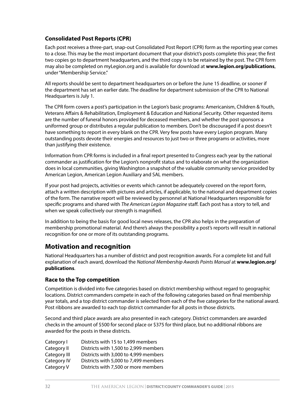### **Consolidated Post Reports (CPR)**

Each post receives a three-part, snap-out Consolidated Post Report (CPR) form as the reporting year comes to a close. This may be the most important document that your district's posts complete this year; the first two copies go to department headquarters, and the third copy is to be retained by the post. The CPR form may also be completed on myLegion.org and is available for download at **www.legion.org/publications**, under "Membership Service."

All reports should be sent to department headquarters on or before the June 15 deadline, or sooner if the department has set an earlier date. The deadline for department submission of the CPR to National Headquarters is July 1.

The CPR form covers a post's participation in the Legion's basic programs: Americanism, Children & Youth, Veterans Affairs & Rehabilitation, Employment & Education and National Security. Other requested items are the number of funeral honors provided for deceased members, and whether the post sponsors a uniformed group or distributes a regular publication to members. Don't be discouraged if a post doesn't have something to report in every blank on the CPR. Very few posts have every Legion program. Many outstanding posts devote their energies and resources to just two or three programs or activities, more than justifying their existence.

Information from CPR forms is included in a final report presented to Congress each year by the national commander as justification for the Legion's nonprofit status and to elaborate on what the organization does in local communities, giving Washington a snapshot of the valuable community service provided by American Legion, American Legion Auxiliary and SAL members.

If your post had projects, activities or events which cannot be adequately covered on the report form, attach a written description with pictures and articles, if applicable, to the national and department copies of the form. The narrative report will be reviewed by personnel at National Headquarters responsible for specific programs and shared with *The American Legion Magazine* staff. Each post has a story to tell, and when we speak collectively our strength is magnified.

In addition to being the basis for good local news releases, the CPR also helps in the preparation of membership promotional material. And there's always the possibility a post's reports will result in national recognition for one or more of its outstanding programs.

### **Motivation and recognition**

National Headquarters has a number of district and post recognition awards. For a complete list and full explanation of each award, download the *National Membership Awards Points Manual* at **www.legion.org/ publications**.

### **Race to the Top competition**

Competition is divided into five categories based on district membership without regard to geographic locations. District commanders compete in each of the following categories based on final membership year totals, and a top district commander is selected from each of the five categories for the national award. Post ribbons are awarded to each top district commander for all posts in those districts.

Second and third place awards are also presented in each category. District commanders are awarded checks in the amount of \$500 for second place or \$375 for third place, but no additional ribbons are awarded for the posts in these districts.

| Districts with 15 to 1,499 members    |
|---------------------------------------|
| Districts with 1,500 to 2,999 members |
| Districts with 3,000 to 4,999 members |
| Districts with 5,000 to 7,499 members |
| Districts with 7,500 or more members  |
|                                       |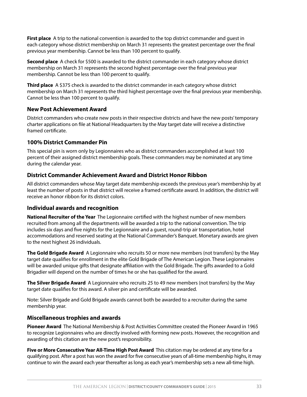**First place** A trip to the national convention is awarded to the top district commander and guest in each category whose district membership on March 31 represents the greatest percentage over the final previous year membership. Cannot be less than 100 percent to qualify.

**Second place** A check for \$500 is awarded to the district commander in each category whose district membership on March 31 represents the second highest percentage over the final previous year membership. Cannot be less than 100 percent to qualify.

**Third place** A \$375 check is awarded to the district commander in each category whose district membership on March 31 represents the third highest percentage over the final previous year membership. Cannot be less than 100 percent to qualify.

#### **New Post Achievement Award**

District commanders who create new posts in their respective districts and have the new posts' temporary charter applications on file at National Headquarters by the May target date will receive a distinctive framed certificate.

#### **100% District Commander Pin**

This special pin is worn only by Legionnaires who as district commanders accomplished at least 100 percent of their assigned district membership goals. These commanders may be nominated at any time during the calendar year.

### **District Commander Achievement Award and District Honor Ribbon**

All district commanders whose May target date membership exceeds the previous year's membership by at least the number of posts in that district will receive a framed certificate award. In addition, the district will receive an honor ribbon for its district colors.

### **Individual awards and recognition**

**National Recruiter of the Year** The Legionnaire certified with the highest number of new members recruited from among all the departments will be awarded a trip to the national convention. The trip includes six days and five nights for the Legionnaire and a guest, round-trip air transportation, hotel accommodations and reserved seating at the National Commander's Banquet. Monetary awards are given to the next highest 26 individuals.

**The Gold Brigade Award** A Legionnaire who recruits 50 or more new members (not transfers) by the May target date qualifies for enrollment in the elite Gold Brigade of The American Legion. These Legionnaires will be awarded unique gifts that designate affiliation with the Gold Brigade. The gifts awarded to a Gold Brigadier will depend on the number of times he or she has qualified for the award.

**The Silver Brigade Award** A Legionnaire who recruits 25 to 49 new members (not transfers) by the May target date qualifies for this award. A silver pin and certificate will be awarded.

Note: Silver Brigade and Gold Brigade awards cannot both be awarded to a recruiter during the same membership year.

### **Miscellaneous trophies and awards**

**Pioneer Award** The National Membership & Post Activities Committee created the Pioneer Award in 1965 to recognize Legionnaires who are directly involved with forming new posts. However, the recognition and awarding of this citation are the new post's responsibility.

**Five or More Consecutive Year All-Time High Post Award** This citation may be ordered at any time for a qualifying post. After a post has won the award for five consecutive years of all-time membership highs, it may continue to win the award each year thereafter as long as each year's membership sets a new all-time high.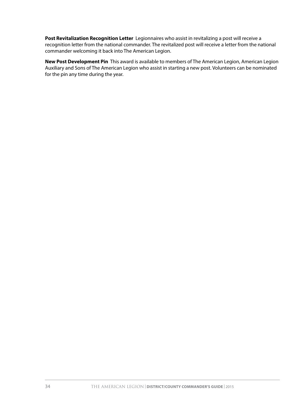**Post Revitalization Recognition Letter** Legionnaires who assist in revitalizing a post will receive a recognition letter from the national commander. The revitalized post will receive a letter from the national commander welcoming it back into The American Legion.

**New Post Development Pin** This award is available to members of The American Legion, American Legion Auxiliary and Sons of The American Legion who assist in starting a new post. Volunteers can be nominated for the pin any time during the year.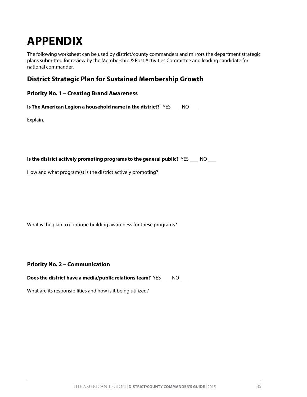# **APPENDIX**

The following worksheet can be used by district/county commanders and mirrors the department strategic plans submitted for review by the Membership & Post Activities Committee and leading candidate for national commander.

# **District Strategic Plan for Sustained Membership Growth**

|  |  |  |  | <b>Priority No. 1 - Creating Brand Awareness</b> |
|--|--|--|--|--------------------------------------------------|
|--|--|--|--|--------------------------------------------------|

**Is The American Legion a household name in the district?** YES \_\_\_ NO \_\_\_

Explain.

**Is the district actively promoting programs to the general public?** YES \_\_\_ NO \_\_\_

How and what program(s) is the district actively promoting?

What is the plan to continue building awareness for these programs?

**Priority No. 2 – Communication**

**Does the district have a media/public relations team?** YES \_\_\_ NO \_\_\_

What are its responsibilities and how is it being utilized?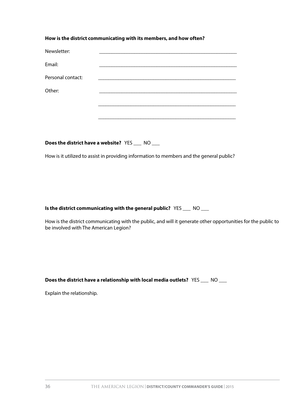#### **How is the district communicating with its members, and how often?**

| Newsletter:       |  |
|-------------------|--|
| Email:            |  |
| Personal contact: |  |
| Other:            |  |
|                   |  |
|                   |  |
|                   |  |

**Does the district have a website?** YES \_\_\_ NO \_\_\_

How is it utilized to assist in providing information to members and the general public?

#### **Is the district communicating with the general public?** YES \_\_\_ NO \_\_\_

How is the district communicating with the public, and will it generate other opportunities for the public to be involved with The American Legion?

**Does the district have a relationship with local media outlets?** YES \_\_\_ NO \_\_\_

Explain the relationship.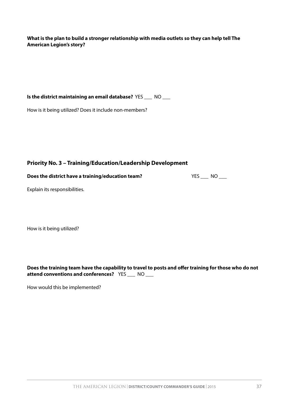**What is the plan to build a stronger relationship with media outlets so they can help tell The American Legion's story?**

**Is the district maintaining an email database?** YES \_\_\_ NO \_\_\_

How is it being utilized? Does it include non-members?

### **Priority No. 3 – Training/Education/Leadership Development**

**Does the district have a training/education team?** YES \_\_\_ NO \_\_\_

Explain its responsibilities.

How is it being utilized?

**Does the training team have the capability to travel to posts and offer training for those who do not attend conventions and conferences?** YES \_\_\_ NO \_\_\_

How would this be implemented?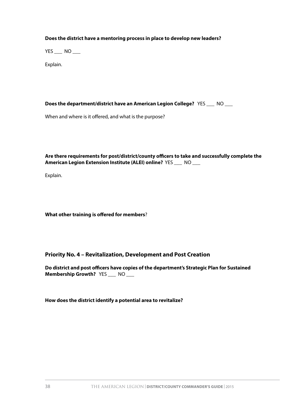#### **Does the district have a mentoring process in place to develop new leaders?**

 $YES$  NO \_\_\_\_

Explain.

**Does the department/district have an American Legion College?** YES \_\_\_ NO \_\_\_

When and where is it offered, and what is the purpose?

**Are there requirements for post/district/county officers to take and successfully complete the American Legion Extension Institute (ALEI) online?** YES \_\_\_ NO \_\_\_

Explain.

**What other training is offered for members**?

**Priority No. 4 – Revitalization, Development and Post Creation**

**Do district and post officers have copies of the department's Strategic Plan for Sustained Membership Growth?** YES \_\_\_ NO \_\_\_

**How does the district identify a potential area to revitalize?**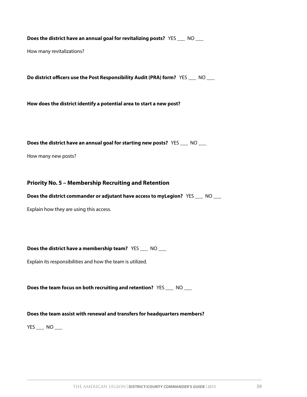**Does the district have an annual goal for revitalizing posts?** YES \_\_\_ NO \_\_\_

How many revitalizations?

**Do district officers use the Post Responsibility Audit (PRA) form?** YES \_\_\_ NO \_\_\_

**How does the district identify a potential area to start a new post?**

**Does the district have an annual goal for starting new posts?** YES \_\_\_ NO \_\_\_

How many new posts?

#### **Priority No. 5 – Membership Recruiting and Retention**

**Does the district commander or adjutant have access to myLegion?** YES \_\_\_ NO \_\_\_

Explain how they are using this access.

**Does the district have a membership team?** YES \_\_\_ NO \_\_\_

Explain its responsibilities and how the team is utilized.

**Does the team focus on both recruiting and retention?** YES \_\_\_ NO \_\_\_

#### **Does the team assist with renewal and transfers for headquarters members?**

YES \_\_\_ NO \_\_\_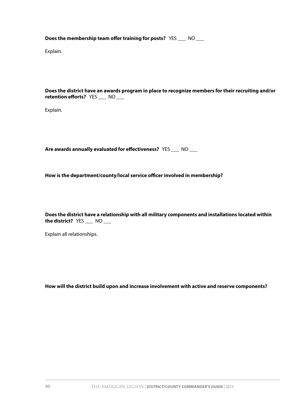**Does the membership team offer training for posts?** YES \_\_\_ NO \_\_\_

Explain.

**Does the district have an awards program in place to recognize members for their recruiting and/or retention efforts?** YES \_\_\_ NO \_\_\_

Explain.

**Are awards annually evaluated for effectiveness?** YES \_\_\_ NO \_\_\_

**How is the department/county/local service officer involved in membership?**

**Does the district have a relationship with all military components and installations located within the district?** YES \_\_\_ NO \_\_\_

Explain all relationships.

**How will the district build upon and increase involvement with active and reserve components?**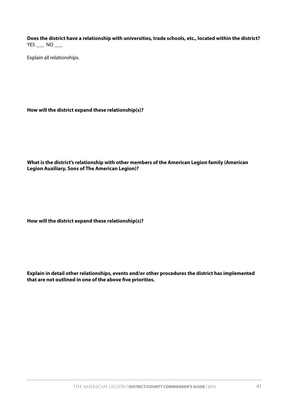**Does the district have a relationship with universities, trade schools, etc., located within the district?** YES \_\_\_ NO \_\_\_

Explain all relationships.

**How will the district expand these relationship(s)?**

**What is the district's relationship with other members of the American Legion family (American Legion Auxiliary, Sons of The American Legion)?**

**How will the district expand these relationship(s)?**

**Explain in detail other relationships, events and/or other procedures the district has implemented that are not outlined in one of the above five priorities.**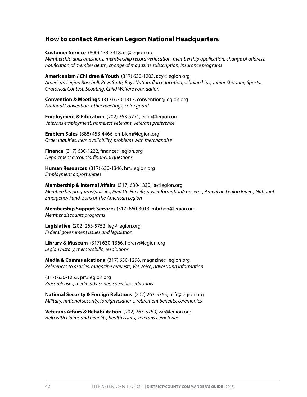### **How to contact American Legion National Headquarters**

**Customer Service** (800) 433-3318, cs@legion.org

*Membership dues questions, membership record verification, membership application, change of address, notification of member death, change of magazine subscription, insurance programs*

**Americanism / Children & Youth** (317) 630-1203, acy@legion.org *American Legion Baseball, Boys State, Boys Nation, flag education, scholarships, Junior Shooting Sports, Oratorical Contest, Scouting, Child Welfare Foundation*

**Convention & Meetings** (317) 630-1313, convention@legion.org *National Convention, other meetings, color guard*

**Employment & Education** (202) 263-5771, econ@legion.org *Veterans employment, homeless veterans, veterans preference*

**Emblem Sales** (888) 453-4466, emblem@legion.org *Order inquiries, item availability, problems with merchandise*

**Finance** (317) 630-1222, finance@legion.org *Department accounts, financial questions*

**Human Resources** (317) 630-1346, hr@legion.org *Employment opportunities*

**Membership & Internal Affairs** (317) 630-1330, ia@legion.org *Membership programs/policies, Paid Up For Life, post information/concerns, American Legion Riders, National Emergency Fund, Sons of The American Legion*

**Membership Support Services** (317) 860-3013, mbrben@legion.org *Member discounts programs*

**Legislative** (202) 263-5752, leg@legion.org *Federal government issues and legislation*

**Library & Museum** (317) 630-1366, library@legion.org *Legion history, memorabilia, resolutions*

**Media & Communications** (317) 630-1298, magazine@legion.org *References to articles, magazine requests, Vet Voice, advertising information*

(317) 630-1253, pr@legion.org *Press releases, media advisories, speeches, editorials*

**National Security & Foreign Relations** (202) 263-5765, nsfr@legion.org *Military, national security, foreign relations, retirement benefits, ceremonies*

**Veterans Affairs & Rehabilitation** (202) 263-5759, var@legion.org *Help with claims and benefits, health issues, veterans cemeteries*